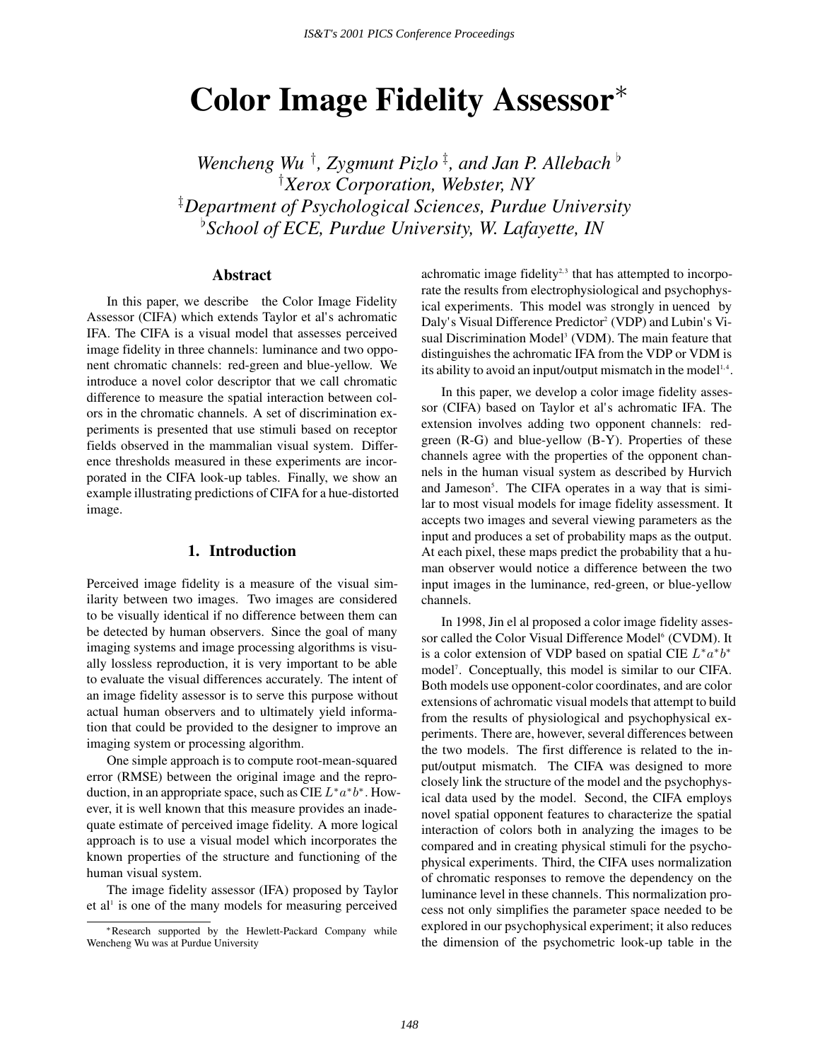# **Color Image Fidelity Assessor**<sup>∗</sup>

Wencheng Wu<sup>†</sup>, Zygmunt Pizlo<sup>‡</sup>, and Jan P. Allebach<sup>b</sup> † *Xerox Corporation, Webster, NY* ‡ *Department of Psychological Sciences, Purdue University* [ *School of ECE, Purdue University, W. Lafayette, IN*

# **Abstract**

In this paper, we describe the Color Image Fidelity Assessor (CIFA) which extends Taylor et al's achromatic IFA. The CIFA is a visual model that assesses perceived image fidelity in three channels: luminance and two opponent chromatic channels: red-green and blue-yellow. We introduce a novel color descriptor that we call chromatic difference to measure the spatial interaction between colors in the chromatic channels. A set of discrimination experiments is presented that use stimuli based on receptor fields observed in the mammalian visual system. Difference thresholds measured in these experiments are incorporated in the CIFA look-up tables. Finally, we show an example illustrating predictions of CIFA for a hue-distorted image.

## **1. Introduction**

Perceived image fidelity is a measure of the visual similarity between two images. Two images are considered to be visually identical if no difference between them can be detected by human observers. Since the goal of many imaging systems and image processing algorithms is visually lossless reproduction, it is very important to be able to evaluate the visual differences accurately. The intent of an image fidelity assessor is to serve this purpose without actual human observers and to ultimately yield information that could be provided to the designer to improve an imaging system or processing algorithm.

One simple approach is to compute root-mean-squared error (RMSE) between the original image and the reproduction, in an appropriate space, such as CIE  $L^* a^* b^*$ . However, it is well known that this measure provides an inadequate estimate of perceived image fidelity. A more logical approach is to use a visual model which incorporates the known properties of the structure and functioning of the human visual system.

The image fidelity assessor (IFA) proposed by Taylor et al<sup>1</sup> is one of the many models for measuring perceived achromatic image fidelity<sup>2,3</sup> that has attempted to incorporate the results from electrophysiological and psychophysical experiments. This model was strongly in uenced by Daly's Visual Difference Predictor<sup>2</sup> (VDP) and Lubin's Visual Discrimination Model<sup>3</sup> (VDM). The main feature that distinguishes the achromatic IFA from the VDP or VDM is its ability to avoid an input/output mismatch in the model<sup> $1,4$ </sup>.

In this paper, we develop a color image fidelity assessor (CIFA) based on Taylor et al's achromatic IFA. The extension involves adding two opponent channels: redgreen (R-G) and blue-yellow (B-Y). Properties of these channels agree with the properties of the opponent channels in the human visual system as described by Hurvich and Jameson<sup>5</sup>. The CIFA operates in a way that is similar to most visual models for image fidelity assessment. It accepts two images and several viewing parameters as the input and produces a set of probability maps as the output. At each pixel, these maps predict the probability that a human observer would notice a difference between the two input images in the luminance, red-green, or blue-yellow channels.

In 1998, Jin el al proposed a color image fidelity assessor called the Color Visual Difference Model<sup>6</sup> (CVDM). It is a color extension of VDP based on spatial CIE  $L^* a^* b^*$ model<sup>7</sup>. Conceptually, this model is similar to our CIFA. Both models use opponent-color coordinates, and are color extensions of achromatic visual models that attempt to build from the results of physiological and psychophysical experiments. There are, however, several differences between the two models. The first difference is related to the input/output mismatch. The CIFA was designed to more closely link the structure of the model and the psychophysical data used by the model. Second, the CIFA employs novel spatial opponent features to characterize the spatial interaction of colors both in analyzing the images to be compared and in creating physical stimuli for the psychophysical experiments. Third, the CIFA uses normalization of chromatic responses to remove the dependency on the luminance level in these channels. This normalization process not only simplifies the parameter space needed to be explored in our psychophysical experiment; it also reduces the dimension of the psychometric look-up table in the

<sup>∗</sup>Research supported by the Hewlett-Packard Company while Wencheng Wu was at Purdue University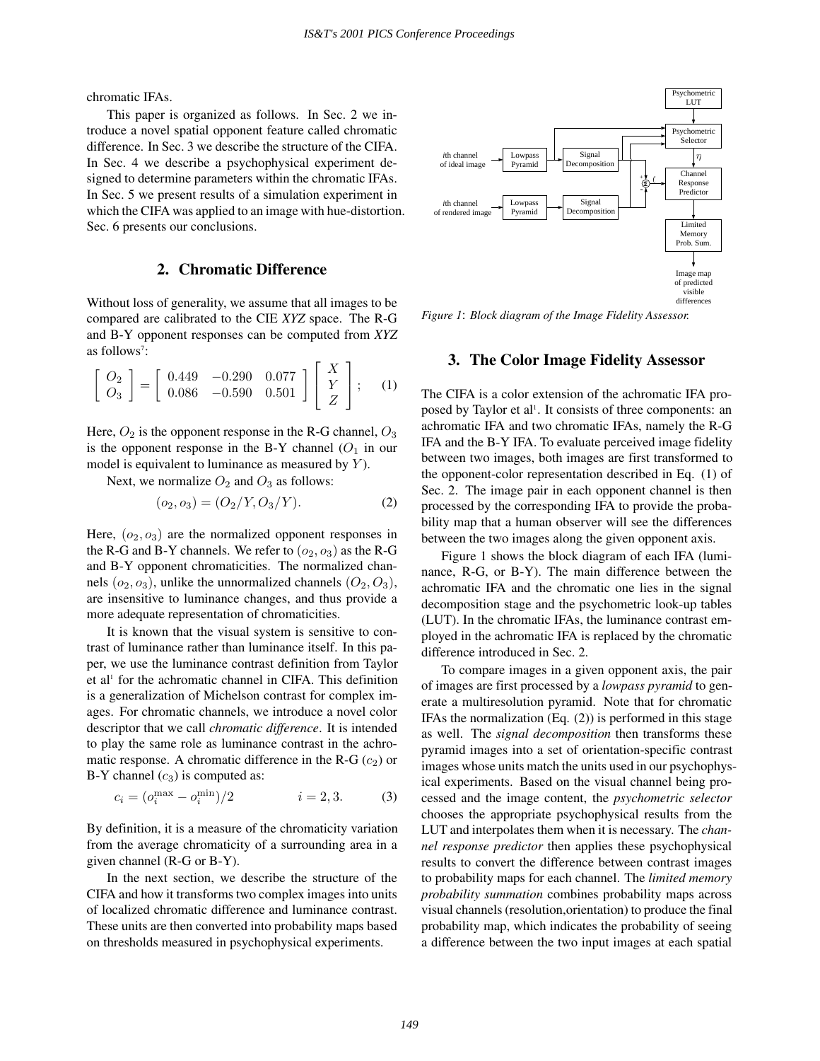chromatic IFAs.

This paper is organized as follows. In Sec. 2 we introduce a novel spatial opponent feature called chromatic difference. In Sec. 3 we describe the structure of the CIFA. In Sec. 4 we describe a psychophysical experiment designed to determine parameters within the chromatic IFAs. In Sec. 5 we present results of a simulation experiment in which the CIFA was applied to an image with hue-distortion. Sec. 6 presents our conclusions.

## **2. Chromatic Difference**

Without loss of generality, we assume that all images to be compared are calibrated to the CIE *XYZ* space. The R-G and B-Y opponent responses can be computed from *XYZ* as follows<sup>7</sup>:

$$
\begin{bmatrix} Q_2 \\ Q_3 \end{bmatrix} = \begin{bmatrix} 0.449 & -0.290 & 0.077 \\ 0.086 & -0.590 & 0.501 \end{bmatrix} \begin{bmatrix} X \\ Y \\ Z \end{bmatrix};
$$
 (1)

Here,  $O_2$  is the opponent response in the R-G channel,  $O_3$ is the opponent response in the B-Y channel  $(O_1$  in our model is equivalent to luminance as measured by  $Y$ ).

Next, we normalize  $O_2$  and  $O_3$  as follows:

$$
(o_2, o_3) = (O_2/Y, O_3/Y). \tag{2}
$$

Here,  $(o_2, o_3)$  are the normalized opponent responses in the R-G and B-Y channels. We refer to  $(o_2, o_3)$  as the R-G and B-Y opponent chromaticities. The normalized channels  $(o_2, o_3)$ , unlike the unnormalized channels  $(O_2, O_3)$ , are insensitive to luminance changes, and thus provide a more adequate representation of chromaticities.

It is known that the visual system is sensitive to contrast of luminance rather than luminance itself. In this paper, we use the luminance contrast definition from Taylor et al<sup>1</sup> for the achromatic channel in CIFA. This definition is a generalization of Michelson contrast for complex images. For chromatic channels, we introduce a novel color descriptor that we call *chromatic difference*. It is intended to play the same role as luminance contrast in the achromatic response. A chromatic difference in the R-G  $(c_2)$  or B-Y channel  $(c_3)$  is computed as:

$$
c_i = (o_i^{\max} - o_i^{\min})/2 \qquad i = 2, 3. \tag{3}
$$

By definition, it is a measure of the chromaticity variation from the average chromaticity of a surrounding area in a given channel (R-G or B-Y).

In the next section, we describe the structure of the CIFA and how it transforms two complex images into units of localized chromatic difference and luminance contrast. These units are then converted into probability maps based on thresholds measured in psychophysical experiments.



*Figure 1*: *Block diagram of the Image Fidelity Assessor.*

# **3. The Color Image Fidelity Assessor**

The CIFA is a color extension of the achromatic IFA proposed by Taylor et al<sup>1</sup>. It consists of three components: an achromatic IFA and two chromatic IFAs, namely the R-G IFA and the B-Y IFA. To evaluate perceived image fidelity between two images, both images are first transformed to the opponent-color representation described in Eq. (1) of Sec. 2. The image pair in each opponent channel is then processed by the corresponding IFA to provide the probability map that a human observer will see the differences between the two images along the given opponent axis.

Figure 1 shows the block diagram of each IFA (luminance, R-G, or B-Y). The main difference between the achromatic IFA and the chromatic one lies in the signal decomposition stage and the psychometric look-up tables (LUT). In the chromatic IFAs, the luminance contrast employed in the achromatic IFA is replaced by the chromatic difference introduced in Sec. 2.

To compare images in a given opponent axis, the pair of images are first processed by a *lowpass pyramid* to generate a multiresolution pyramid. Note that for chromatic IFAs the normalization (Eq. (2)) is performed in this stage as well. The *signal decomposition* then transforms these pyramid images into a set of orientation-specific contrast images whose units match the units used in our psychophysical experiments. Based on the visual channel being processed and the image content, the *psychometric selector* chooses the appropriate psychophysical results from the LUT and interpolates them when it is necessary. The *channel response predictor* then applies these psychophysical results to convert the difference between contrast images to probability maps for each channel. The *limited memory probability summation* combines probability maps across visual channels(resolution,orientation) to produce the final probability map, which indicates the probability of seeing a difference between the two input images at each spatial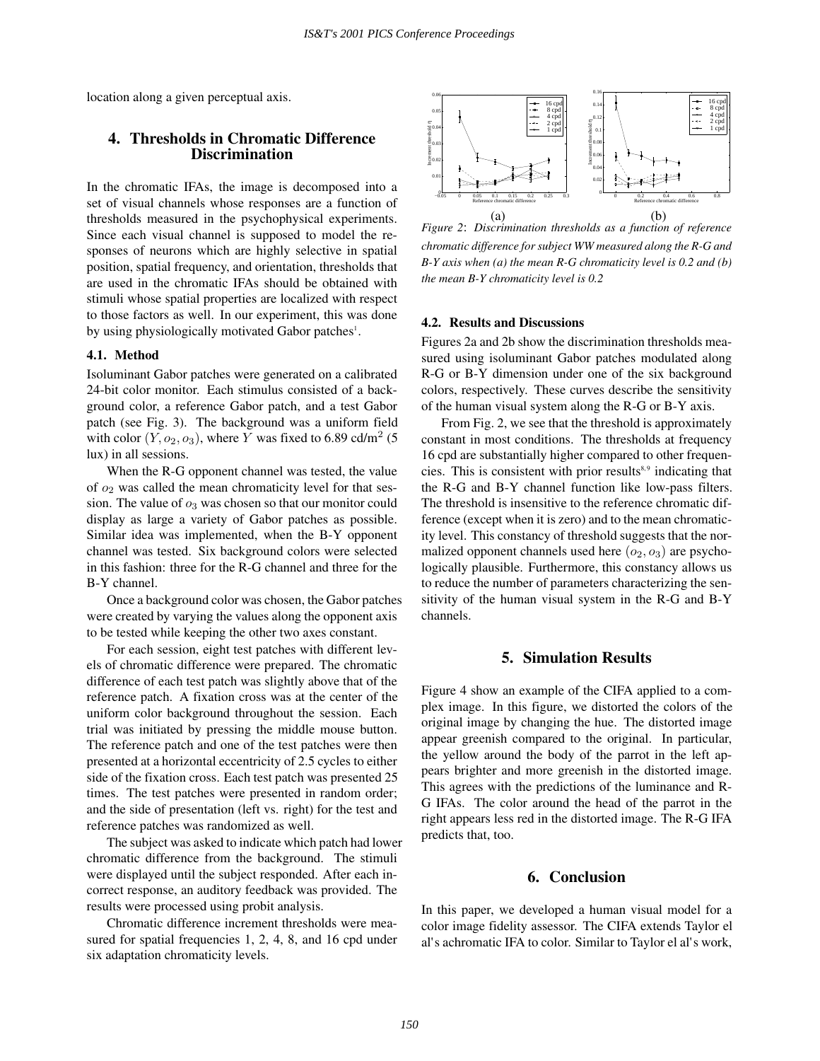location along a given perceptual axis.

# **4. Thresholds in Chromatic Difference Discrimination**

In the chromatic IFAs, the image is decomposed into a set of visual channels whose responses are a function of thresholds measured in the psychophysical experiments. Since each visual channel is supposed to model the responses of neurons which are highly selective in spatial position, spatial frequency, and orientation, thresholds that are used in the chromatic IFAs should be obtained with stimuli whose spatial properties are localized with respect to those factors as well. In our experiment, this was done by using physiologically motivated Gabor patches<sup>1</sup>.

#### **4.1. Method**

Isoluminant Gabor patches were generated on a calibrated 24-bit color monitor. Each stimulus consisted of a background color, a reference Gabor patch, and a test Gabor patch (see Fig. 3). The background was a uniform field with color  $(Y, o_2, o_3)$ , where Y was fixed to 6.89 cd/m<sup>2</sup> (5) lux) in all sessions.

When the R-G opponent channel was tested, the value of  $o_2$  was called the mean chromaticity level for that session. The value of  $o_3$  was chosen so that our monitor could display as large a variety of Gabor patches as possible. Similar idea was implemented, when the B-Y opponent channel was tested. Six background colors were selected in this fashion: three for the R-G channel and three for the B-Y channel.

Once a background color was chosen, the Gabor patches were created by varying the values along the opponent axis to be tested while keeping the other two axes constant.

For each session, eight test patches with different levels of chromatic difference were prepared. The chromatic difference of each test patch was slightly above that of the reference patch. A fixation cross was at the center of the uniform color background throughout the session. Each trial was initiated by pressing the middle mouse button. The reference patch and one of the test patches were then presented at a horizontal eccentricity of 2.5 cycles to either side of the fixation cross. Each test patch was presented 25 times. The test patches were presented in random order; and the side of presentation (left vs. right) for the test and reference patches was randomized as well.

The subject was asked to indicate which patch had lower chromatic difference from the background. The stimuli were displayed until the subject responded. After each incorrect response, an auditory feedback was provided. The results were processed using probit analysis.

Chromatic difference increment thresholds were measured for spatial frequencies 1, 2, 4, 8, and 16 cpd under six adaptation chromaticity levels.



*Figure 2*: *Discrimination thresholds as a function of reference chromatic difference for subject WW measured along the R-G and B-Y axis when (a) the mean R-G chromaticity level is 0.2 and (b) the mean B-Y chromaticity level is 0.2*

# **4.2. Results and Discussions**

Figures 2a and 2b show the discrimination thresholds measured using isoluminant Gabor patches modulated along R-G or B-Y dimension under one of the six background colors, respectively. These curves describe the sensitivity of the human visual system along the R-G or B-Y axis.

From Fig. 2, we see that the threshold is approximately constant in most conditions. The thresholds at frequency 16 cpd are substantially higher compared to other frequencies. This is consistent with prior results $8,9$  indicating that the R-G and B-Y channel function like low-pass filters. The threshold is insensitive to the reference chromatic difference (except when it is zero) and to the mean chromaticity level. This constancy of threshold suggests that the normalized opponent channels used here  $(o_2, o_3)$  are psychologically plausible. Furthermore, this constancy allows us to reduce the number of parameters characterizing the sensitivity of the human visual system in the R-G and B-Y channels.

#### **5. Simulation Results**

Figure 4 show an example of the CIFA applied to a complex image. In this figure, we distorted the colors of the original image by changing the hue. The distorted image appear greenish compared to the original. In particular, the yellow around the body of the parrot in the left appears brighter and more greenish in the distorted image. This agrees with the predictions of the luminance and R-G IFAs. The color around the head of the parrot in the right appears less red in the distorted image. The R-G IFA predicts that, too.

#### **6. Conclusion**

In this paper, we developed a human visual model for a color image fidelity assessor. The CIFA extends Taylor el al's achromatic IFA to color. Similar to Taylor el al's work,